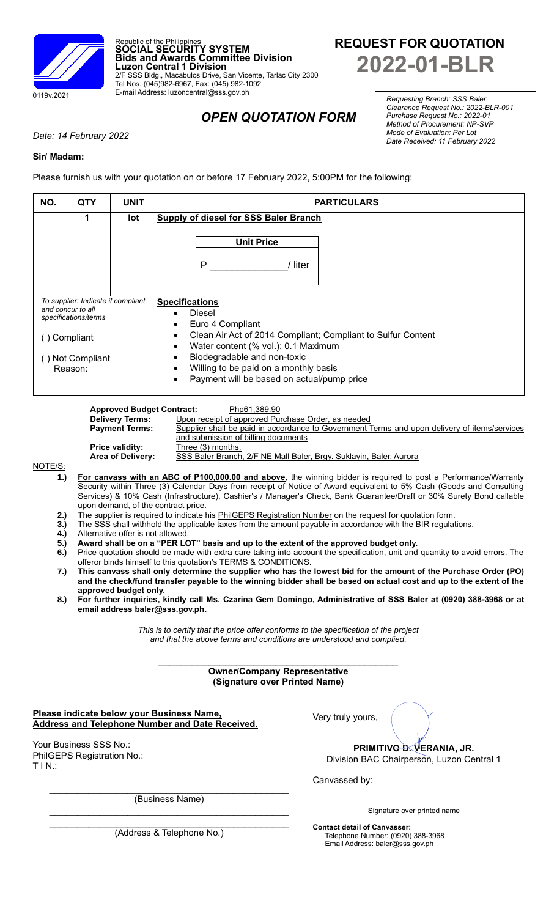

# **REQUEST FOR QUOTATION 2022-01-BLR**

*Requesting Branch: SSS Baler Clearance Request No.: 2022-BLR-001 Purchase Request No.: 2022-01 Method of Procurement: NP-SVP Mode of Evaluation: Per Lot Date Received: 11 February 2022*

## *OPEN QUOTATION FORM*

*Date: 14 February 2022*

### **Sir/ Madam:**

Please furnish us with your quotation on or before 17 February 2022, 5:00PM for the following:

Republic of the Philippines **SOCIAL SECURITY SYSTEM**

Tel Nos. (045)982-6967, Fax: (045) 982-1092 E-mail Address: luzoncentral@sss.gov.ph

**Luzon Central 1 Division**

**Bids and Awards Committee Division**

2/F SSS Bldg., Macabulos Drive, San Vicente, Tarlac City 2300

| NO. | <b>QTY</b>                                                                      | <b>UNIT</b> | <b>PARTICULARS</b>                                                                                                                                     |  |  |  |  |
|-----|---------------------------------------------------------------------------------|-------------|--------------------------------------------------------------------------------------------------------------------------------------------------------|--|--|--|--|
|     | 1                                                                               | lot         | <b>Supply of diesel for SSS Baler Branch</b>                                                                                                           |  |  |  |  |
|     |                                                                                 |             | <b>Unit Price</b><br>P<br>liter                                                                                                                        |  |  |  |  |
|     | To supplier: Indicate if compliant<br>and concur to all<br>specifications/terms |             | <b>Specifications</b><br>Diesel                                                                                                                        |  |  |  |  |
|     | Compliant<br>Not Compliant                                                      |             | Euro 4 Compliant<br>Clean Air Act of 2014 Compliant; Compliant to Sulfur Content<br>Water content (% vol.); 0.1 Maximum<br>Biodegradable and non-toxic |  |  |  |  |
|     | Reason:                                                                         |             | Willing to be paid on a monthly basis<br>$\bullet$<br>Payment will be based on actual/pump price<br>$\bullet$                                          |  |  |  |  |

| <b>Approved Budget Contract:</b> | Php61,389.90                                                                                 |
|----------------------------------|----------------------------------------------------------------------------------------------|
| <b>Delivery Terms:</b>           | Upon receipt of approved Purchase Order, as needed                                           |
| <b>Payment Terms:</b>            | Supplier shall be paid in accordance to Government Terms and upon delivery of items/services |
|                                  | and submission of billing documents                                                          |
| <b>Price validity:</b>           | Three (3) months.                                                                            |
| <b>Area of Delivery:</b>         | SSS Baler Branch, 2/F NE Mall Baler, Brgy. Suklayin, Baler, Aurora                           |
|                                  |                                                                                              |

NOTE/S

- **1.) For canvass with an ABC of P100,000.00 and above,** the winning bidder is required to post a Performance/Warranty Security within Three (3) Calendar Days from receipt of Notice of Award equivalent to 5% Cash (Goods and Consulting Services) & 10% Cash (Infrastructure), Cashier's / Manager's Check, Bank Guarantee/Draft or 30% Surety Bond callable upon demand, of the contract price.
- **2.)** The supplier is required to indicate his PhilGEPS Registration Number on the request for quotation form.
- **3.)** The SSS shall withhold the applicable taxes from the amount payable in accordance with the BIR regulations.
- **4.)** Alternative offer is not allowed.
- **5.) Award shall be on a "PER LOT" basis and up to the extent of the approved budget only.**
- **6.)** Price quotation should be made with extra care taking into account the specification, unit and quantity to avoid errors. The offeror binds himself to this quotation's TERMS & CONDITIONS.
- **7.) This canvass shall only determine the supplier who has the lowest bid for the amount of the Purchase Order (PO) and the check/fund transfer payable to the winning bidder shall be based on actual cost and up to the extent of the approved budget only.**
- **8.) For further inquiries, kindly call Ms. Czarina Gem Domingo, Administrative of SSS Baler at (0920) 388-3968 or at email address baler@sss.gov.ph.**

*This is to certify that the price offer conforms to the specification of the project and that the above terms and conditions are understood and complied.*

#### $\mathcal{L}_\text{max}$  , where  $\mathcal{L}_\text{max}$  and  $\mathcal{L}_\text{max}$  and  $\mathcal{L}_\text{max}$  and  $\mathcal{L}_\text{max}$ **Owner/Company Representative (Signature over Printed Name)**

**Please indicate below your Business Name, Address and Telephone Number and Date Received.**

Your Business SSS No.: PhilGEPS Registration No.: T I N.:

Very truly yours,

**PRIMITIVO D. VERANIA, JR.**

Division BAC Chairperson, Luzon Central 1

Canvassed by:

Signature over printed name

 $\mathcal{L}_\text{max}$  , and the contract of the contract of the contract of the contract of the contract of the contract of the contract of the contract of the contract of the contract of the contract of the contract of the contr (Address & Telephone No.)

 $\mathcal{L}_\text{max}$  , and the contract of the contract of the contract of the contract of the contract of the contract of the contract of the contract of the contract of the contract of the contract of the contract of the contr (Business Name)  $\mathcal{L}_\text{max}$  , and the set of the set of the set of the set of the set of the set of the set of the set of the set of the set of the set of the set of the set of the set of the set of the set of the set of the set of the

> **Contact detail of Canvasser:** Telephone Number: (0920) 388-3968 Email Address: baler@sss.gov.ph